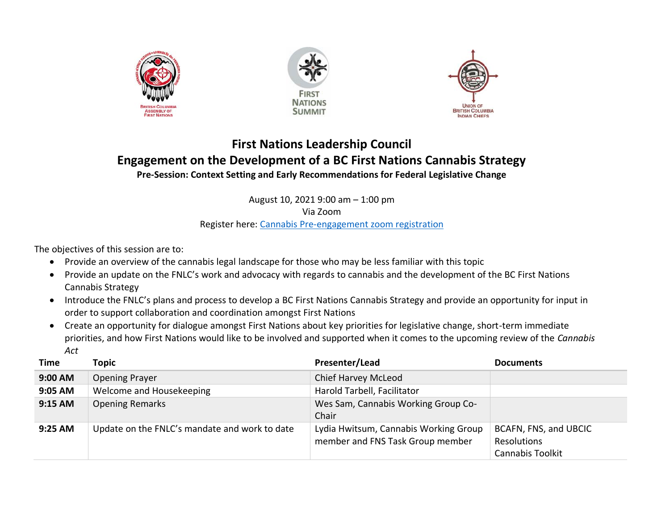





## **First Nations Leadership Council Engagement on the Development of a BC First Nations Cannabis Strategy Pre-Session: Context Setting and Early Recommendations for Federal Legislative Change**

August 10, 2021 9:00 am – 1:00 pm

Via Zoom

Register here: [Cannabis Pre-engagement zoom registration](https://us06web.zoom.us/meeting/register/tZUkfu6srzovHtdfNcAFz_XPiqiQUYLbeIys)

The objectives of this session are to:

- Provide an overview of the cannabis legal landscape for those who may be less familiar with this topic
- Provide an update on the FNLC's work and advocacy with regards to cannabis and the development of the BC First Nations Cannabis Strategy
- Introduce the FNLC's plans and process to develop a BC First Nations Cannabis Strategy and provide an opportunity for input in order to support collaboration and coordination amongst First Nations
- Create an opportunity for dialogue amongst First Nations about key priorities for legislative change, short-term immediate priorities, and how First Nations would like to be involved and supported when it comes to the upcoming review of the *Cannabis Act*

| Time    | Topic                                         | Presenter/Lead                                                            | <b>Documents</b>                                                |
|---------|-----------------------------------------------|---------------------------------------------------------------------------|-----------------------------------------------------------------|
| 9:00 AM | <b>Opening Prayer</b>                         | Chief Harvey McLeod                                                       |                                                                 |
| 9:05 AM | Welcome and Housekeeping                      | Harold Tarbell, Facilitator                                               |                                                                 |
| 9:15 AM | <b>Opening Remarks</b>                        | Wes Sam, Cannabis Working Group Co-<br>Chair                              |                                                                 |
| 9:25 AM | Update on the FNLC's mandate and work to date | Lydia Hwitsum, Cannabis Working Group<br>member and FNS Task Group member | BCAFN, FNS, and UBCIC<br>Resolutions<br><b>Cannabis Toolkit</b> |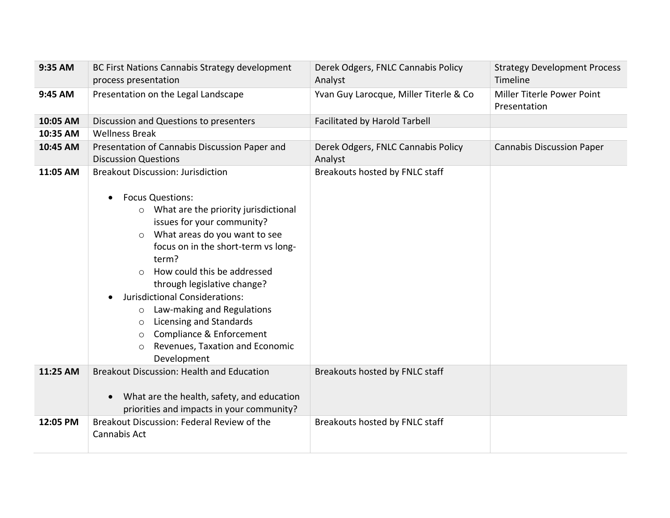| 9:35 AM  | BC First Nations Cannabis Strategy development<br>process presentation                                                                                                                                                                                                                                                                                                                                                                                                                                                                                       | Derek Odgers, FNLC Cannabis Policy<br>Analyst | <b>Strategy Development Process</b><br>Timeline |
|----------|--------------------------------------------------------------------------------------------------------------------------------------------------------------------------------------------------------------------------------------------------------------------------------------------------------------------------------------------------------------------------------------------------------------------------------------------------------------------------------------------------------------------------------------------------------------|-----------------------------------------------|-------------------------------------------------|
| 9:45 AM  | Presentation on the Legal Landscape                                                                                                                                                                                                                                                                                                                                                                                                                                                                                                                          | Yvan Guy Larocque, Miller Titerle & Co        | Miller Titerle Power Point<br>Presentation      |
| 10:05 AM | Discussion and Questions to presenters                                                                                                                                                                                                                                                                                                                                                                                                                                                                                                                       | <b>Facilitated by Harold Tarbell</b>          |                                                 |
| 10:35 AM | <b>Wellness Break</b>                                                                                                                                                                                                                                                                                                                                                                                                                                                                                                                                        |                                               |                                                 |
| 10:45 AM | Presentation of Cannabis Discussion Paper and<br><b>Discussion Questions</b>                                                                                                                                                                                                                                                                                                                                                                                                                                                                                 | Derek Odgers, FNLC Cannabis Policy<br>Analyst | <b>Cannabis Discussion Paper</b>                |
| 11:05 AM | <b>Breakout Discussion: Jurisdiction</b><br><b>Focus Questions:</b><br>$\bullet$<br>What are the priority jurisdictional<br>$\circ$<br>issues for your community?<br>What areas do you want to see<br>$\circ$<br>focus on in the short-term vs long-<br>term?<br>How could this be addressed<br>$\Omega$<br>through legislative change?<br>Jurisdictional Considerations:<br>Law-making and Regulations<br>$\circ$<br>Licensing and Standards<br>$\circ$<br>Compliance & Enforcement<br>$\circ$<br>Revenues, Taxation and Economic<br>$\circ$<br>Development | Breakouts hosted by FNLC staff                |                                                 |
| 11:25 AM | Breakout Discussion: Health and Education<br>What are the health, safety, and education<br>$\bullet$<br>priorities and impacts in your community?                                                                                                                                                                                                                                                                                                                                                                                                            | Breakouts hosted by FNLC staff                |                                                 |
| 12:05 PM | Breakout Discussion: Federal Review of the<br>Cannabis Act                                                                                                                                                                                                                                                                                                                                                                                                                                                                                                   | Breakouts hosted by FNLC staff                |                                                 |